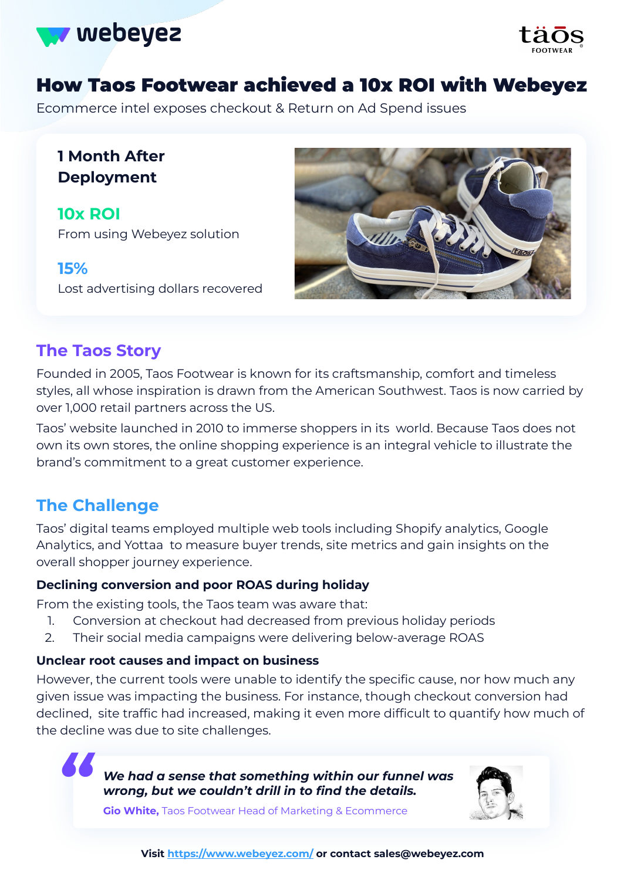



# How Taos Footwear achieved a 10x ROI with Webeyez

Ecommerce intel exposes checkout & Return on Ad Spend issues

## **1 Month After Deployment**

**10x ROI** From using Webeyez solution

**15%** Lost advertising dollars recovered



## **The Taos Story**

Founded in 2005, Taos Footwear is known for its craftsmanship, comfort and timeless styles, all whose inspiration is drawn from the American Southwest. Taos is now carried by over 1,000 retail partners across the US.

Taos' website launched in 2010 to immerse shoppers in its world. Because Taos does not own its own stores, the online shopping experience is an integral vehicle to illustrate the brand's commitment to a great customer experience.

## **The Challenge**

Taos' digital teams employed multiple web tools including Shopify analytics, Google Analytics, and Yottaa to measure buyer trends, site metrics and gain insights on the overall shopper journey experience.

## **Declining conversion and poor ROAS during holiday**

From the existing tools, the Taos team was aware that:

- 1. Conversion at checkout had decreased from previous holiday periods
- 2. Their social media campaigns were delivering below-average ROAS

### **Unclear root causes and impact on business**

However, the current tools were unable to identify the specific cause, nor how much any given issue was impacting the business. For instance, though checkout conversion had declined, site traffic had increased, making it even more difficult to quantify how much of the decline was due to site challenges.

> *We had a sense that something within our funnel was " wrong, but we couldn't drill in to find the details.*



**Gio White,** Taos Footwear Head of Marketing & Ecommerce